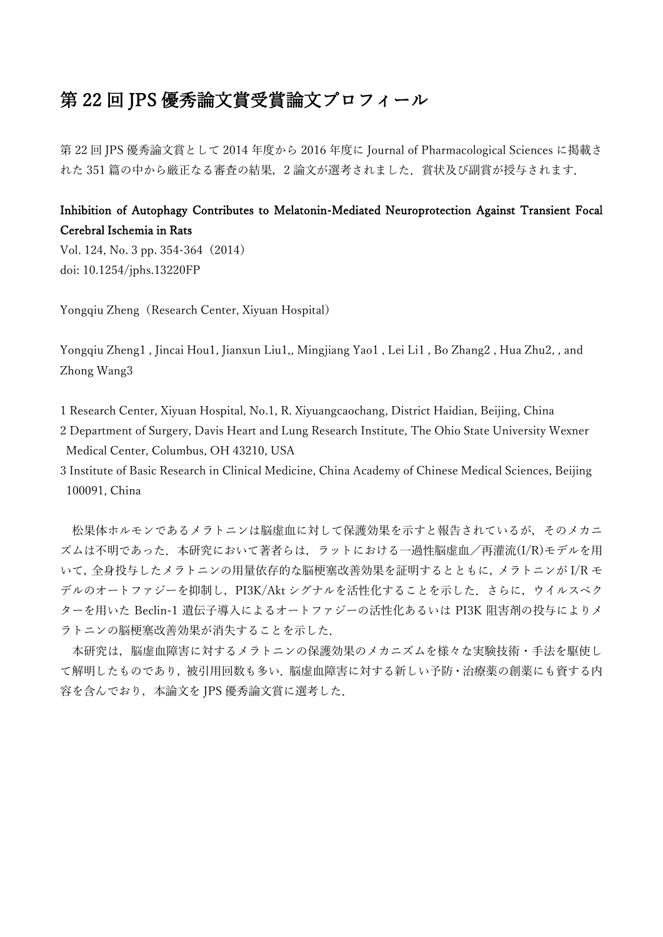## 第 22 回 JPS 優秀論文賞受賞論文プロフィール

第 22 回 JPS 優秀論文賞として 2014 年度から 2016 年度に Journal of Pharmacological Sciences に掲載さ れた 351 篇の中から厳正なる審査の結果,2 論文が選考されました.賞状及び副賞が授与されます.

## Inhibition of Autophagy Contributes to Melatonin-Mediated Neuroprotection Against Transient Focal Cerebral Ischemia in Rats

Vol. 124, No. 3 pp. 354-364(2014) doi: 10.1254/jphs.13220FP

Yongqiu Zheng (Research Center, Xiyuan Hospital)

Yongqiu Zheng1 , Jincai Hou1, Jianxun Liu1,, Mingjiang Yao1 , Lei Li1 , Bo Zhang2 , Hua Zhu2, , and Zhong Wang3

1 Research Center, Xiyuan Hospital, No.1, R. Xiyuangcaochang, District Haidian, Beijing, China

2 Department of Surgery, Davis Heart and Lung Research Institute, The Ohio State University Wexner Medical Center, Columbus, OH 43210, USA

3 Institute of Basic Research in Clinical Medicine, China Academy of Chinese Medical Sciences, Beijing 100091, China

松果体ホルモンであるメラトニンは脳虚血に対して保護効果を示すと報告されているが,そのメカニ ズムは不明であった. 本研究において著者らは、ラットにおける一過性脳虚血/再灌流(I/R)モデルを用 いて,全身投与したメラトニンの用量依存的な脳梗塞改善効果を証明するとともに,メラトニンが I/R モ デルのオートファジーを抑制し、PI3K/Akt シグナルを活性化することを示した。さらに、ウイルスベク ターを用いた Beclin-1 遺伝子導入によるオートファジーの活性化あるいは PI3K 阻害剤の投与によりメ ラトニンの脳梗塞改善効果が消失することを示した.

本研究は,脳虚血障害に対するメラトニンの保護効果のメカニズムを様々な実験技術・手法を駆使し て解明したものであり,被引用回数も多い.脳虚血障害に対する新しい予防・治療薬の創薬にも資する内 容を含んでおり,本論文を JPS 優秀論文賞に選考した.